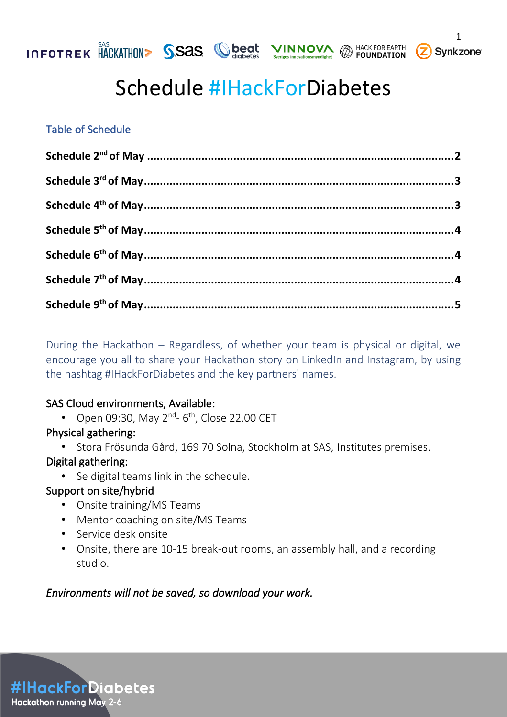



### Table of Schedule

During the Hackathon – Regardless, of whether your team is physical or digital, we encourage you all to share your Hackathon story on LinkedIn and Instagram, by using the hashtag #IHackForDiabetes and the key partners' names.

### SAS Cloud environments, Available:

• Open 09:30, May 2<sup>nd</sup>- 6<sup>th</sup>, Close 22.00 CET

### Physical gathering:

• Stora Frösunda Gård, 169 70 Solna, Stockholm at SAS, Institutes premises.

### Digital gathering:

• Se digital teams link in the schedule.

### Support on site/hybrid

- Onsite training/MS Teams
- Mentor coaching on site/MS Teams
- Service desk onsite
- Onsite, there are 10-15 break-out rooms, an assembly hall, and a recording studio.

### *Environments will not be saved, so download your work.*

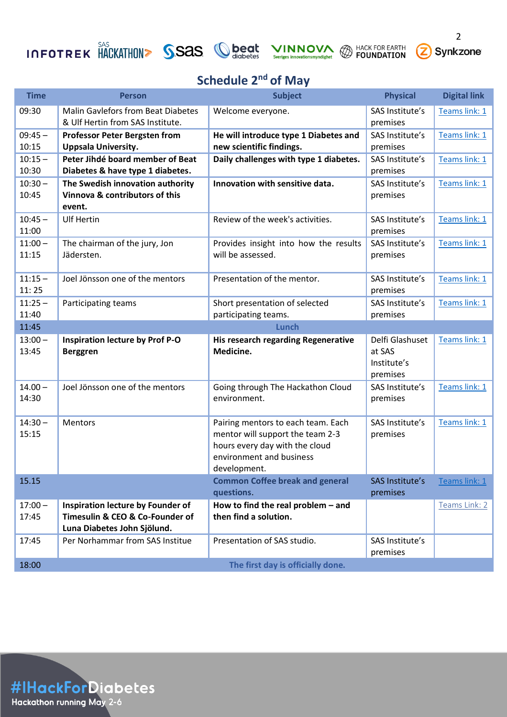# **INFOTREK** HACKATHON SSAS Seriges innovationsmyndighet @ HACK FOR EARTH 2 Synkzone









## **Schedule 2nd of May**

<span id="page-1-0"></span>

| <b>Time</b>        | <b>Person</b>                                                                                       | <b>Subject</b>                                                                                                                                       | <b>Physical</b>                                      | <b>Digital link</b> |
|--------------------|-----------------------------------------------------------------------------------------------------|------------------------------------------------------------------------------------------------------------------------------------------------------|------------------------------------------------------|---------------------|
| 09:30              | <b>Malin Gavlefors from Beat Diabetes</b><br>& Ulf Hertin from SAS Institute.                       | Welcome everyone.                                                                                                                                    | SAS Institute's<br>premises                          | Teams link: 1       |
| $09:45 -$<br>10:15 | <b>Professor Peter Bergsten from</b><br><b>Uppsala University.</b>                                  | He will introduce type 1 Diabetes and<br>new scientific findings.                                                                                    | SAS Institute's<br>premises                          | Teams link: 1       |
| $10:15 -$<br>10:30 | Peter Jihdé board member of Beat<br>Diabetes & have type 1 diabetes.                                | Daily challenges with type 1 diabetes.                                                                                                               | SAS Institute's<br>premises                          | Teams link: 1       |
| $10:30 -$<br>10:45 | The Swedish innovation authority<br>Vinnova & contributors of this<br>event.                        | Innovation with sensitive data.                                                                                                                      | SAS Institute's<br>premises                          | Teams link: 1       |
| $10:45 -$<br>11:00 | <b>Ulf Hertin</b>                                                                                   | Review of the week's activities.                                                                                                                     | SAS Institute's<br>premises                          | Teams link: 1       |
| $11:00 -$<br>11:15 | The chairman of the jury, Jon<br>Jädersten.                                                         | Provides insight into how the results<br>will be assessed.                                                                                           | SAS Institute's<br>premises                          | Teams link: 1       |
| $11:15 -$<br>11:25 | Joel Jönsson one of the mentors                                                                     | Presentation of the mentor.                                                                                                                          | SAS Institute's<br>premises                          | Teams link: 1       |
| $11:25 -$<br>11:40 | Participating teams                                                                                 | Short presentation of selected<br>participating teams.                                                                                               | SAS Institute's<br>premises                          | Teams link: 1       |
| 11:45              |                                                                                                     | <b>Lunch</b>                                                                                                                                         |                                                      |                     |
| $13:00 -$<br>13:45 | <b>Inspiration lecture by Prof P-O</b><br><b>Berggren</b>                                           | His research regarding Regenerative<br>Medicine.                                                                                                     | Delfi Glashuset<br>at SAS<br>Institute's<br>premises | Teams link: 1       |
| $14.00 -$<br>14:30 | Joel Jönsson one of the mentors                                                                     | Going through The Hackathon Cloud<br>environment.                                                                                                    | SAS Institute's<br>premises                          | Teams link: 1       |
| $14:30 -$<br>15:15 | Mentors                                                                                             | Pairing mentors to each team. Each<br>mentor will support the team 2-3<br>hours every day with the cloud<br>environment and business<br>development. | SAS Institute's<br>premises                          | Teams link: 1       |
| 15.15              |                                                                                                     | <b>Common Coffee break and general</b><br>questions.                                                                                                 | <b>SAS Institute's</b><br>premises                   | Teams link: 1       |
| $17:00 -$<br>17:45 | Inspiration lecture by Founder of<br>Timesulin & CEO & Co-Founder of<br>Luna Diabetes John Sjölund. | How to find the real problem - and<br>then find a solution.                                                                                          |                                                      | Teams Link: 2       |
| 17:45              | Per Norhammar from SAS Institue                                                                     | Presentation of SAS studio.                                                                                                                          | SAS Institute's<br>premises                          |                     |
| 18:00              |                                                                                                     | The first day is officially done.                                                                                                                    |                                                      |                     |

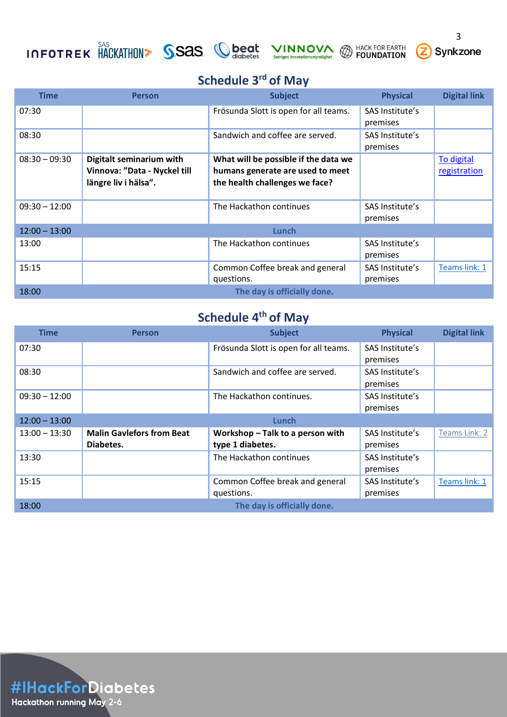# **INFOTREK HACKATHON>** SSAS Cheat VINNOVA @ HACK FOR EARTH









# **Schedule 3rd of May**

<span id="page-2-0"></span>

| <b>Time</b>     | <b>Person</b>                                                                    | <b>Subject</b>                                                                                             | <b>Physical</b>             | <b>Digital link</b>        |
|-----------------|----------------------------------------------------------------------------------|------------------------------------------------------------------------------------------------------------|-----------------------------|----------------------------|
| 07:30           |                                                                                  | Frösunda Slott is open for all teams.                                                                      | SAS Institute's<br>premises |                            |
| 08:30           |                                                                                  | Sandwich and coffee are served.                                                                            | SAS Institute's<br>premises |                            |
| $08:30 - 09:30$ | Digitalt seminarium with<br>Vinnova: "Data - Nyckel till<br>längre liv i hälsa". | What will be possible if the data we<br>humans generate are used to meet<br>the health challenges we face? |                             | To digital<br>registration |
| $09:30 - 12:00$ |                                                                                  | The Hackathon continues                                                                                    | SAS Institute's<br>premises |                            |
| $12:00 - 13:00$ |                                                                                  | Lunch                                                                                                      |                             |                            |
| 13:00           |                                                                                  | The Hackathon continues                                                                                    | SAS Institute's<br>premises |                            |
| 15:15           |                                                                                  | Common Coffee break and general<br>questions.                                                              | SAS Institute's<br>premises | Teams link: 1              |
| 18:00           |                                                                                  | The day is officially done.                                                                                |                             |                            |

# **Schedule 4th of May**

<span id="page-2-1"></span>

| <b>Time</b>     | <b>Person</b>                    | <b>Subject</b>                        | <b>Physical</b> | <b>Digital link</b> |
|-----------------|----------------------------------|---------------------------------------|-----------------|---------------------|
| 07:30           |                                  | Frösunda Slott is open for all teams. | SAS Institute's |                     |
|                 |                                  |                                       | premises        |                     |
| 08:30           |                                  | Sandwich and coffee are served.       | SAS Institute's |                     |
|                 |                                  |                                       | premises        |                     |
| $09:30 - 12:00$ |                                  | The Hackathon continues.              | SAS Institute's |                     |
|                 |                                  |                                       | premises        |                     |
| $12:00 - 13:00$ |                                  | Lunch                                 |                 |                     |
| $13:00 - 13:30$ | <b>Malin Gavlefors from Beat</b> | Workshop - Talk to a person with      | SAS Institute's | Teams Link: 2       |
|                 | Diabetes.                        | type 1 diabetes.                      | premises        |                     |
| 13:30           |                                  | The Hackathon continues               | SAS Institute's |                     |
|                 |                                  |                                       | premises        |                     |
| 15:15           |                                  | Common Coffee break and general       | SAS Institute's | Teams link: 1       |
|                 |                                  | questions.                            | premises        |                     |
| 18:00           |                                  | The day is officially done.           |                 |                     |

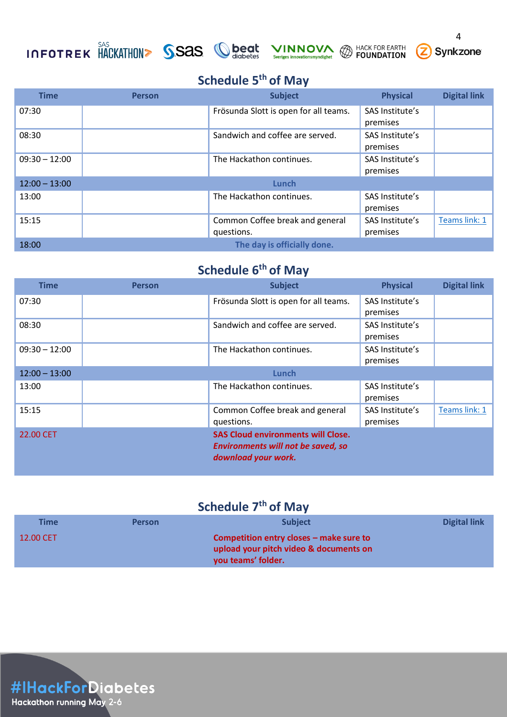# INFOTREK HACKATHON> SSAS Cheat VINNOVA @ HACK FOR EARTH 2 Synkzone







## **Schedule 5th of May**

<span id="page-3-0"></span>

| <b>Time</b>     | <b>Person</b> | <b>Subject</b>                        | <b>Physical</b> | <b>Digital link</b> |
|-----------------|---------------|---------------------------------------|-----------------|---------------------|
| 07:30           |               | Frösunda Slott is open for all teams. | SAS Institute's |                     |
|                 |               |                                       | premises        |                     |
| 08:30           |               | Sandwich and coffee are served.       | SAS Institute's |                     |
|                 |               |                                       | premises        |                     |
| $09:30 - 12:00$ |               | The Hackathon continues.              | SAS Institute's |                     |
|                 |               |                                       | premises        |                     |
| $12:00 - 13:00$ |               | Lunch                                 |                 |                     |
| 13:00           |               | The Hackathon continues.              | SAS Institute's |                     |
|                 |               |                                       | premises        |                     |
| 15:15           |               | Common Coffee break and general       | SAS Institute's | Teams link: 1       |
|                 |               | questions.                            | premises        |                     |
| 18:00           |               | The day is officially done.           |                 |                     |

# **Schedule 6th of May**

<span id="page-3-1"></span>

| <b>Time</b>     | <b>Person</b> | <b>Subject</b>                                                                                                | <b>Physical</b>             | <b>Digital link</b> |
|-----------------|---------------|---------------------------------------------------------------------------------------------------------------|-----------------------------|---------------------|
| 07:30           |               | Frösunda Slott is open for all teams.                                                                         | SAS Institute's             |                     |
|                 |               |                                                                                                               | premises                    |                     |
| 08:30           |               | Sandwich and coffee are served.                                                                               | SAS Institute's<br>premises |                     |
| $09:30 - 12:00$ |               | The Hackathon continues.                                                                                      | SAS Institute's             |                     |
|                 |               |                                                                                                               | premises                    |                     |
| $12:00 - 13:00$ |               | Lunch                                                                                                         |                             |                     |
| 13:00           |               | The Hackathon continues.                                                                                      | SAS Institute's             |                     |
|                 |               |                                                                                                               | premises                    |                     |
| 15:15           |               | Common Coffee break and general                                                                               | SAS Institute's             | Teams link: 1       |
|                 |               | questions.                                                                                                    | premises                    |                     |
| 22.00 CET       |               | <b>SAS Cloud environments will Close.</b><br><b>Environments will not be saved, so</b><br>download your work. |                             |                     |

# **Schedule 7th of May**

<span id="page-3-3"></span><span id="page-3-2"></span>

| Time      | <b>Person</b> | <b>Subject</b>                            | Digital link |
|-----------|---------------|-------------------------------------------|--------------|
| 12.00 CET |               | Competition entry closes $-$ make sure to |              |
|           |               | upload your pitch video & documents on    |              |
|           |               | you teams' folder.                        |              |